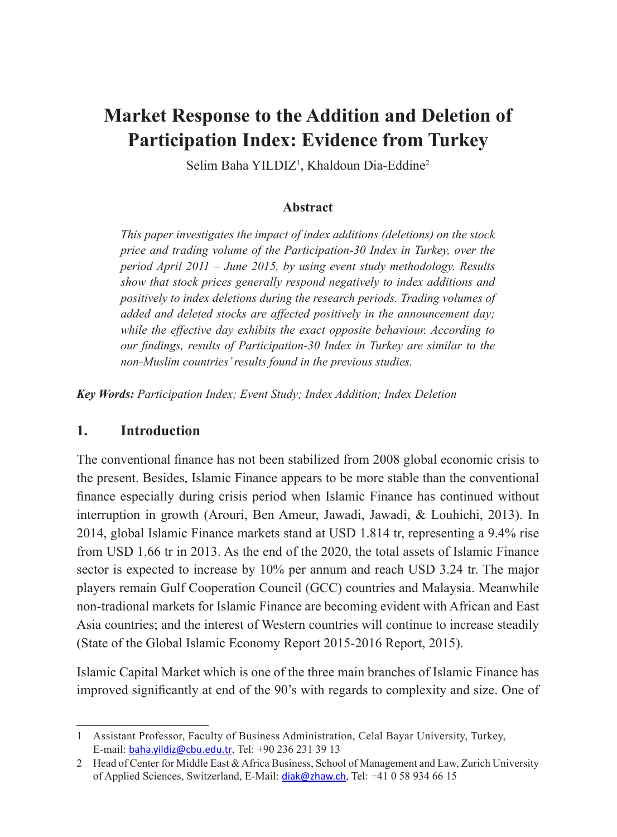# **Market Response to the Addition and Deletion of Participation Index: Evidence from Turkey**

Selim Baha YILDIZ<sup>1</sup>, Khaldoun Dia-Eddine<sup>2</sup>

## **Abstract**

*This paper investigates the impact of index additions (deletions) on the stock price and trading volume of the Participation-30 Index in Turkey, over the period April 2011 – June 2015, by using event study methodology. Results show that stock prices generally respond negatively to index additions and positively to index deletions during the research periods. Trading volumes of added and deleted stocks are affected positively in the announcement day; while the effective day exhibits the exact opposite behaviour. According to our findings, results of Participation-30 Index in Turkey are similar to the non-Muslim countries' results found in the previous studies.*

*Key Words: Participation Index; Event Study; Index Addition; Index Deletion*

## **1. Introduction**

The conventional finance has not been stabilized from 2008 global economic crisis to the present. Besides, Islamic Finance appears to be more stable than the conventional finance especially during crisis period when Islamic Finance has continued without interruption in growth (Arouri, Ben Ameur, Jawadi, Jawadi, & Louhichi, 2013). In 2014, global Islamic Finance markets stand at USD 1.814 tr, representing a 9.4% rise from USD 1.66 tr in 2013. As the end of the 2020, the total assets of Islamic Finance sector is expected to increase by 10% per annum and reach USD 3.24 tr. The major players remain Gulf Cooperation Council (GCC) countries and Malaysia. Meanwhile non-tradional markets for Islamic Finance are becoming evident with African and East Asia countries; and the interest of Western countries will continue to increase steadily (State of the Global Islamic Economy Report 2015-2016 Report, 2015).

Islamic Capital Market which is one of the three main branches of Islamic Finance has improved significantly at end of the 90's with regards to complexity and size. One of

<sup>1</sup> Assistant Professor, Faculty of Business Administration, Celal Bayar University, Turkey, E-mail: baha.yildiz@cbu.edu.tr, Tel: +90 236 231 39 13

<sup>2</sup> Head of Center for Middle East & Africa Business, School of Management and Law, Zurich University of Applied Sciences, Switzerland, E-Mail: diak@zhaw.ch, Tel: +41 0 58 934 66 15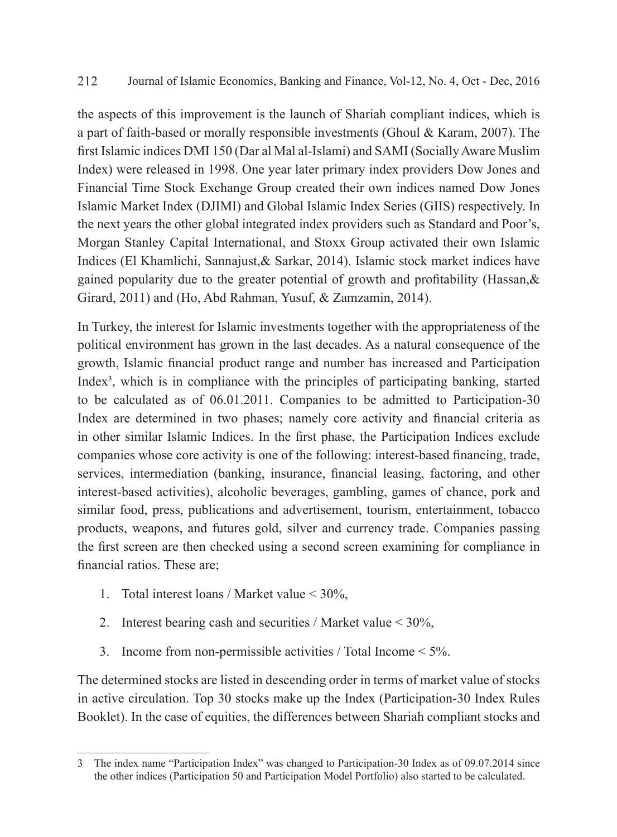the aspects of this improvement is the launch of Shariah compliant indices, which is a part of faith-based or morally responsible investments (Ghoul & Karam, 2007). The first Islamic indices DMI 150 (Dar al Mal al-Islami) and SAMI (Socially Aware Muslim Index) were released in 1998. One year later primary index providers Dow Jones and Financial Time Stock Exchange Group created their own indices named Dow Jones Islamic Market Index (DJIMI) and Global Islamic Index Series (GIIS) respectively. In the next years the other global integrated index providers such as Standard and Poor's, Morgan Stanley Capital International, and Stoxx Group activated their own Islamic Indices (El Khamlichi, Sannajust,& Sarkar, 2014). Islamic stock market indices have gained popularity due to the greater potential of growth and profitability (Hassan,  $\&$ Girard, 2011) and (Ho, Abd Rahman, Yusuf, & Zamzamin, 2014).

In Turkey, the interest for Islamic investments together with the appropriateness of the political environment has grown in the last decades. As a natural consequence of the growth, Islamic financial product range and number has increased and Participation Index<sup>3</sup>, which is in compliance with the principles of participating banking, started to be calculated as of 06.01.2011. Companies to be admitted to Participation-30 Index are determined in two phases; namely core activity and financial criteria as in other similar Islamic Indices. In the first phase, the Participation Indices exclude companies whose core activity is one of the following: interest-based financing, trade, services, intermediation (banking, insurance, financial leasing, factoring, and other interest-based activities), alcoholic beverages, gambling, games of chance, pork and similar food, press, publications and advertisement, tourism, entertainment, tobacco products, weapons, and futures gold, silver and currency trade. Companies passing the first screen are then checked using a second screen examining for compliance in financial ratios. These are;

- 1. Total interest loans / Market value < 30%,
- 2. Interest bearing cash and securities / Market value < 30%,
- 3. Income from non-permissible activities / Total Income < 5%.

The determined stocks are listed in descending order in terms of market value of stocks in active circulation. Top 30 stocks make up the Index (Participation-30 Index Rules Booklet). In the case of equities, the differences between Shariah compliant stocks and

<sup>3</sup> The index name "Participation Index" was changed to Participation-30 Index as of 09.07.2014 since the other indices (Participation 50 and Participation Model Portfolio) also started to be calculated.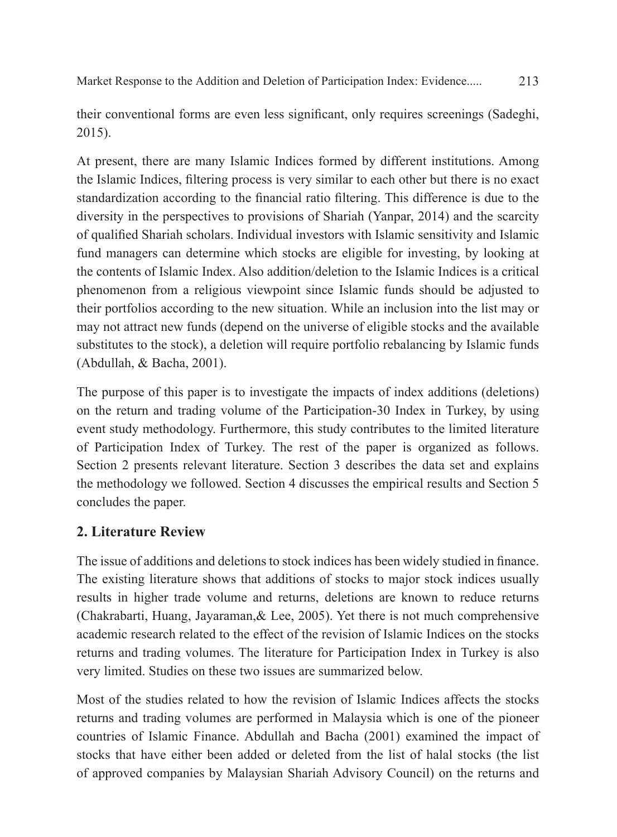Market Response to the Addition and Deletion of Participation Index: Evidence..... 213

their conventional forms are even less significant, only requires screenings (Sadeghi, 2015).

At present, there are many Islamic Indices formed by different institutions. Among the Islamic Indices, filtering process is very similar to each other but there is no exact standardization according to the financial ratio filtering. This difference is due to the diversity in the perspectives to provisions of Shariah (Yanpar, 2014) and the scarcity of qualified Shariah scholars. Individual investors with Islamic sensitivity and Islamic fund managers can determine which stocks are eligible for investing, by looking at the contents of Islamic Index. Also addition/deletion to the Islamic Indices is a critical phenomenon from a religious viewpoint since Islamic funds should be adjusted to their portfolios according to the new situation. While an inclusion into the list may or may not attract new funds (depend on the universe of eligible stocks and the available substitutes to the stock), a deletion will require portfolio rebalancing by Islamic funds (Abdullah, & Bacha, 2001).

The purpose of this paper is to investigate the impacts of index additions (deletions) on the return and trading volume of the Participation-30 Index in Turkey, by using event study methodology. Furthermore, this study contributes to the limited literature of Participation Index of Turkey. The rest of the paper is organized as follows. Section 2 presents relevant literature. Section 3 describes the data set and explains the methodology we followed. Section 4 discusses the empirical results and Section 5 concludes the paper.

# **2. Literature Review**

The issue of additions and deletions to stock indices has been widely studied in finance. The existing literature shows that additions of stocks to major stock indices usually results in higher trade volume and returns, deletions are known to reduce returns (Chakrabarti, Huang, Jayaraman,& Lee, 2005). Yet there is not much comprehensive academic research related to the effect of the revision of Islamic Indices on the stocks returns and trading volumes. The literature for Participation Index in Turkey is also very limited. Studies on these two issues are summarized below.

Most of the studies related to how the revision of Islamic Indices affects the stocks returns and trading volumes are performed in Malaysia which is one of the pioneer countries of Islamic Finance. Abdullah and Bacha (2001) examined the impact of stocks that have either been added or deleted from the list of halal stocks (the list of approved companies by Malaysian Shariah Advisory Council) on the returns and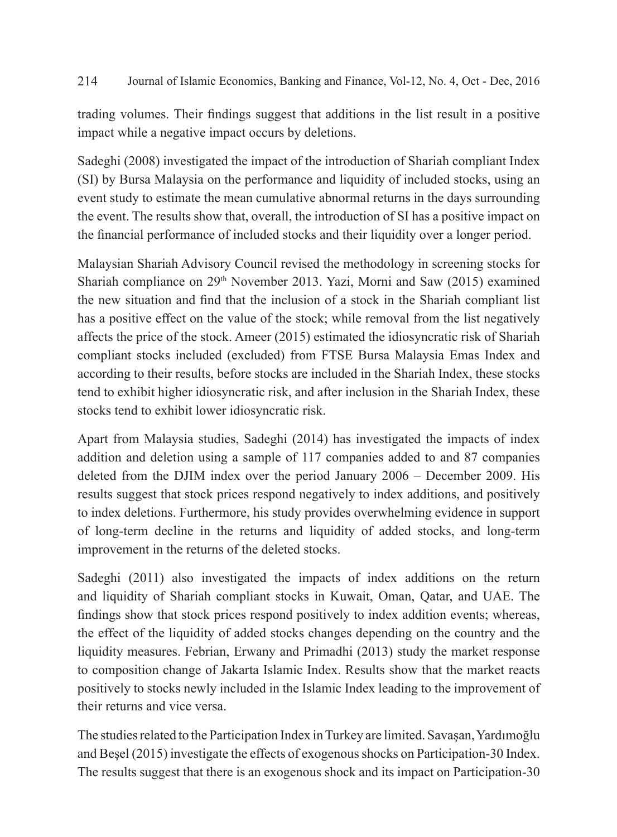trading volumes. Their findings suggest that additions in the list result in a positive impact while a negative impact occurs by deletions.

Sadeghi (2008) investigated the impact of the introduction of Shariah compliant Index (SI) by Bursa Malaysia on the performance and liquidity of included stocks, using an event study to estimate the mean cumulative abnormal returns in the days surrounding the event. The results show that, overall, the introduction of SI has a positive impact on the financial performance of included stocks and their liquidity over a longer period.

Malaysian Shariah Advisory Council revised the methodology in screening stocks for Shariah compliance on  $29<sup>th</sup>$  November 2013. Yazi, Morni and Saw (2015) examined the new situation and find that the inclusion of a stock in the Shariah compliant list has a positive effect on the value of the stock; while removal from the list negatively affects the price of the stock. Ameer (2015) estimated the idiosyncratic risk of Shariah compliant stocks included (excluded) from FTSE Bursa Malaysia Emas Index and according to their results, before stocks are included in the Shariah Index, these stocks tend to exhibit higher idiosyncratic risk, and after inclusion in the Shariah Index, these stocks tend to exhibit lower idiosyncratic risk.

Apart from Malaysia studies, Sadeghi (2014) has investigated the impacts of index addition and deletion using a sample of 117 companies added to and 87 companies deleted from the DJIM index over the period January 2006 – December 2009. His results suggest that stock prices respond negatively to index additions, and positively to index deletions. Furthermore, his study provides overwhelming evidence in support of long-term decline in the returns and liquidity of added stocks, and long-term improvement in the returns of the deleted stocks.

Sadeghi (2011) also investigated the impacts of index additions on the return and liquidity of Shariah compliant stocks in Kuwait, Oman, Qatar, and UAE. The findings show that stock prices respond positively to index addition events; whereas, the effect of the liquidity of added stocks changes depending on the country and the liquidity measures. Febrian, Erwany and Primadhi (2013) study the market response to composition change of Jakarta Islamic Index. Results show that the market reacts positively to stocks newly included in the Islamic Index leading to the improvement of their returns and vice versa.

The studies related to the Participation Index in Turkey are limited. Savaşan, Yardımoğlu and Beşel (2015) investigate the effects of exogenous shocks on Participation-30 Index. The results suggest that there is an exogenous shock and its impact on Participation-30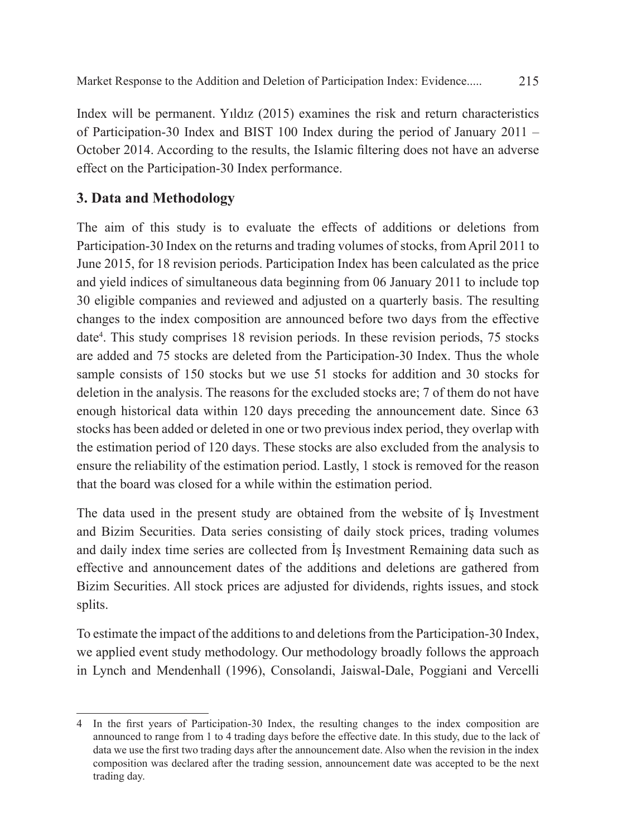Index will be permanent. Yıldız (2015) examines the risk and return characteristics of Participation-30 Index and BIST 100 Index during the period of January 2011 – October 2014. According to the results, the Islamic filtering does not have an adverse effect on the Participation-30 Index performance.

# **3. Data and Methodology**

The aim of this study is to evaluate the effects of additions or deletions from Participation-30 Index on the returns and trading volumes of stocks, from April 2011 to June 2015, for 18 revision periods. Participation Index has been calculated as the price and yield indices of simultaneous data beginning from 06 January 2011 to include top 30 eligible companies and reviewed and adjusted on a quarterly basis. The resulting changes to the index composition are announced before two days from the effective date<sup>4</sup>. This study comprises 18 revision periods. In these revision periods, 75 stocks are added and 75 stocks are deleted from the Participation-30 Index. Thus the whole sample consists of 150 stocks but we use 51 stocks for addition and 30 stocks for deletion in the analysis. The reasons for the excluded stocks are; 7 of them do not have enough historical data within 120 days preceding the announcement date. Since 63 stocks has been added or deleted in one or two previous index period, they overlap with the estimation period of 120 days. These stocks are also excluded from the analysis to ensure the reliability of the estimation period. Lastly, 1 stock is removed for the reason that the board was closed for a while within the estimation period.

The data used in the present study are obtained from the website of İş Investment and Bizim Securities. Data series consisting of daily stock prices, trading volumes and daily index time series are collected from İş Investment Remaining data such as effective and announcement dates of the additions and deletions are gathered from Bizim Securities. All stock prices are adjusted for dividends, rights issues, and stock splits.

To estimate the impact of the additions to and deletions from the Participation-30 Index, we applied event study methodology. Our methodology broadly follows the approach in Lynch and Mendenhall (1996), Consolandi, Jaiswal-Dale, Poggiani and Vercelli

<sup>4</sup> In the first years of Participation-30 Index, the resulting changes to the index composition are announced to range from 1 to 4 trading days before the effective date. In this study, due to the lack of data we use the first two trading days after the announcement date. Also when the revision in the index composition was declared after the trading session, announcement date was accepted to be the next trading day.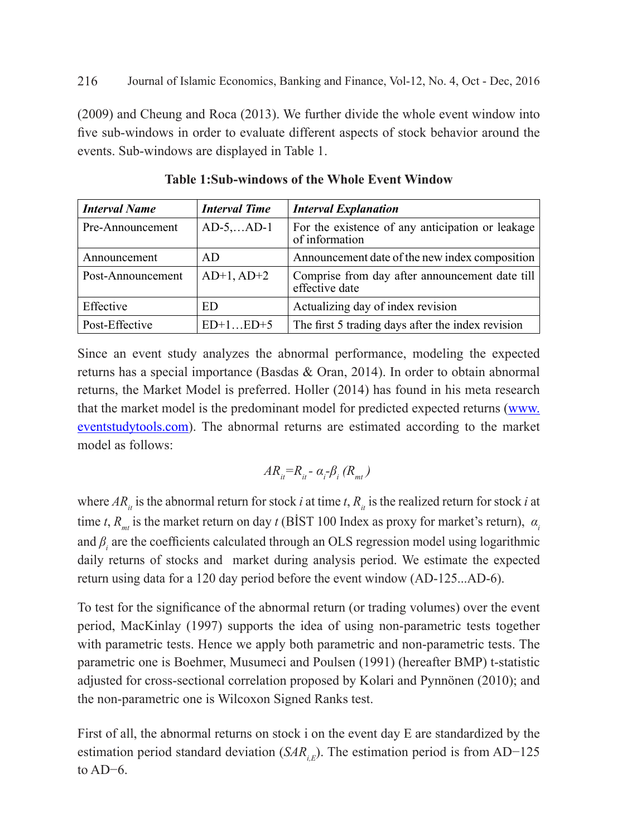(2009) and Cheung and Roca (2013). We further divide the whole event window into five sub-windows in order to evaluate different aspects of stock behavior around the events. Sub-windows are displayed in Table 1.

| <b>Interval Name</b> | <b>Interval Time</b> | <b>Interval Explanation</b>                                        |
|----------------------|----------------------|--------------------------------------------------------------------|
| Pre-Announcement     | $AD-5$ $AD-1$        | For the existence of any anticipation or leakage<br>of information |
| Announcement         | AD                   | Announcement date of the new index composition                     |
| Post-Announcement    | $AD+1, AD+2$         | Comprise from day after announcement date till<br>effective date   |
| Effective            | ED                   | Actualizing day of index revision                                  |
| Post-Effective       | $ED+1ED+5$           | The first 5 trading days after the index revision                  |

**Table 1:Sub-windows of the Whole Event Window**

Since an event study analyzes the abnormal performance, modeling the expected returns has a special importance (Basdas & Oran, 2014). In order to obtain abnormal returns, the Market Model is preferred. Holler (2014) has found in his meta research that the market model is the predominant model for predicted expected returns (www. eventstudytools.com). The abnormal returns are estimated according to the market model as follows:

$$
AR_{it} = R_{it} - \alpha_i - \beta_i (R_{mt})
$$

where  $AR_{ii}$  is the abnormal return for stock *i* at time *t*,  $R_{ii}$  is the realized return for stock *i* at time *t*,  $R_{mt}$  is the market return on day *t* (BIST 100 Index as proxy for market's return),  $\alpha_i$ and  $\beta$ <sub>*i*</sub> are the coefficients calculated through an OLS regression model using logarithmic daily returns of stocks and market during analysis period. We estimate the expected return using data for a 120 day period before the event window (AD-125...AD-6).

To test for the significance of the abnormal return (or trading volumes) over the event period, MacKinlay (1997) supports the idea of using non-parametric tests together with parametric tests. Hence we apply both parametric and non-parametric tests. The parametric one is Boehmer, Musumeci and Poulsen (1991) (hereafter BMP) t-statistic adjusted for cross-sectional correlation proposed by Kolari and Pynnönen (2010); and the non-parametric one is Wilcoxon Signed Ranks test.

First of all, the abnormal returns on stock i on the event day E are standardized by the estimation period standard deviation (*SAR<sub>i,E</sub>*). The estimation period is from AD−125 to AD−6.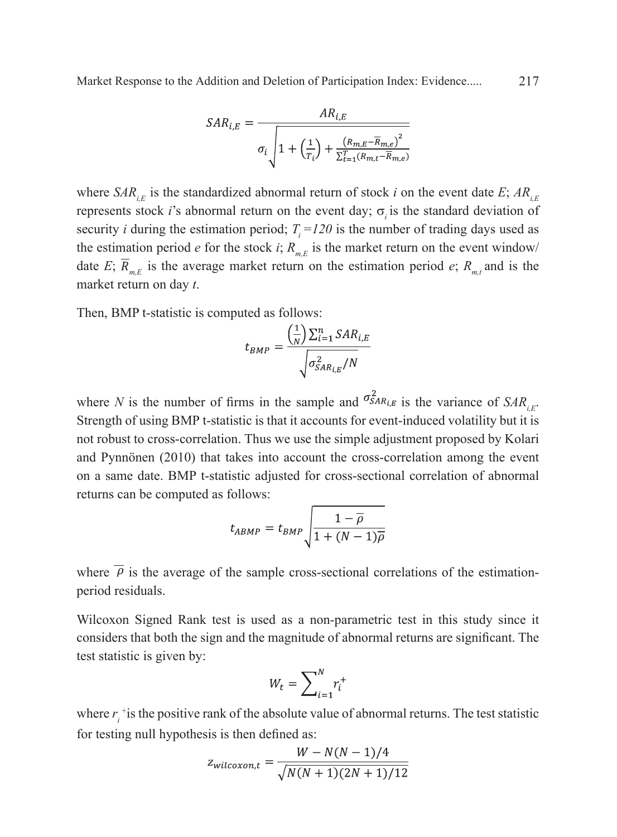Market Response to the Addition and Deletion of Participation Index: Evidence..... 217

$$
SAR_{i,E} = \frac{AR_{i,E}}{\sigma_i \sqrt{1 + \left(\frac{1}{T_i}\right) + \frac{\left(R_{m,E} - \overline{R}_{m,e}\right)^2}{\Sigma_{t=1}^T \left(R_{m,t} - \overline{R}_{m,e}\right)^2}}}
$$

where  $SAR_{i}$  is the standardized abnormal return of stock *i* on the event date *E*;  $AR_{i}$ represents stock *i*'s abnormal return on the event day;  $\sigma_i$  is the standard deviation of security *i* during the estimation period;  $T<sub>i</sub> = 120$  is the number of trading days used as the estimation period *e* for the stock *i*;  $R_{m}$  is the market return on the event window/ date *E*;  $\overline{R}_{mE}$  is the average market return on the estimation period *e*;  $R_{mL}$  and is the market return on day *t*.

Then, BMP t-statistic is computed as follows:

$$
t_{BMP} = \frac{\left(\frac{1}{N}\right)\sum_{i=1}^{n} SAR_{i,E}}{\sqrt{\sigma_{SAR_{i,E}}^{2}/N}}
$$

where *N* is the number of firms in the sample and  $\sigma_{SAR_{i,E}}^2$  is the variance of  $SAR_{i,E}$ . Strength of using BMP t-statistic is that it accounts for event-induced volatility but it is not robust to cross-correlation. Thus we use the simple adjustment proposed by Kolari and Pynnönen (2010) that takes into account the cross-correlation among the event on a same date. BMP t-statistic adjusted for cross-sectional correlation of abnormal returns can be computed as follows:

$$
t_{ABMP} = t_{BMP} \sqrt{\frac{1 - \overline{\rho}}{1 + (N - 1)\overline{\rho}}}
$$

where  $\overline{\rho}$  is the average of the sample cross-sectional correlations of the estimationperiod residuals.

Wilcoxon Signed Rank test is used as a non-parametric test in this study since it considers that both the sign and the magnitude of abnormal returns are significant. The test statistic is given by:

$$
W_t = \sum\nolimits_{i=1}^{N} r_i^+
$$

where  $r_i^+$  is the positive rank of the absolute value of abnormal returns. The test statistic for testing null hypothesis is then defined as:

$$
Z_{wilcoxon,t} = \frac{W - N(N-1)/4}{\sqrt{N(N+1)(2N+1)/12}}
$$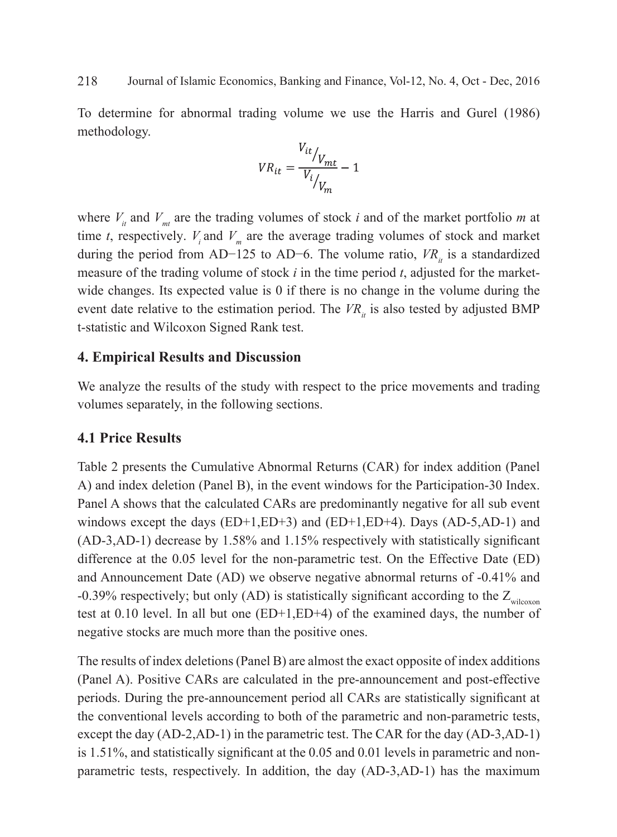To determine for abnormal trading volume we use the Harris and Gurel (1986) methodology.

$$
VR_{it} = \frac{V_{it}}{V_{t}}/V_{mt}} - 1
$$

where  $V_{it}$  and  $V_{mt}$  are the trading volumes of stock *i* and of the market portfolio *m* at time *t*, respectively.  $V_i$  and  $V_m$  are the average trading volumes of stock and market during the period from AD−125 to AD−6. The volume ratio,  $VR_{\mu}$  is a standardized measure of the trading volume of stock *i* in the time period *t*, adjusted for the marketwide changes. Its expected value is 0 if there is no change in the volume during the event date relative to the estimation period. The  $VR_{ij}$  is also tested by adjusted BMP t-statistic and Wilcoxon Signed Rank test.

## **4. Empirical Results and Discussion**

We analyze the results of the study with respect to the price movements and trading volumes separately, in the following sections.

## **4.1 Price Results**

Table 2 presents the Cumulative Abnormal Returns (CAR) for index addition (Panel A) and index deletion (Panel B), in the event windows for the Participation-30 Index. Panel A shows that the calculated CARs are predominantly negative for all sub event windows except the days  $(ED+1, ED+3)$  and  $(ED+1, ED+4)$ . Days  $(AD-5, AD-1)$  and (AD-3,AD-1) decrease by 1.58% and 1.15% respectively with statistically significant difference at the 0.05 level for the non-parametric test. On the Effective Date (ED) and Announcement Date (AD) we observe negative abnormal returns of -0.41% and -0.39% respectively; but only (AD) is statistically significant according to the  $Z_{\text{wilcoxon}}$ test at 0.10 level. In all but one (ED+1,ED+4) of the examined days, the number of negative stocks are much more than the positive ones.

The results of index deletions (Panel B) are almost the exact opposite of index additions (Panel A). Positive CARs are calculated in the pre-announcement and post-effective periods. During the pre-announcement period all CARs are statistically significant at the conventional levels according to both of the parametric and non-parametric tests, except the day (AD-2,AD-1) in the parametric test. The CAR for the day (AD-3,AD-1) is 1.51%, and statistically significant at the 0.05 and 0.01 levels in parametric and nonparametric tests, respectively. In addition, the day (AD-3,AD-1) has the maximum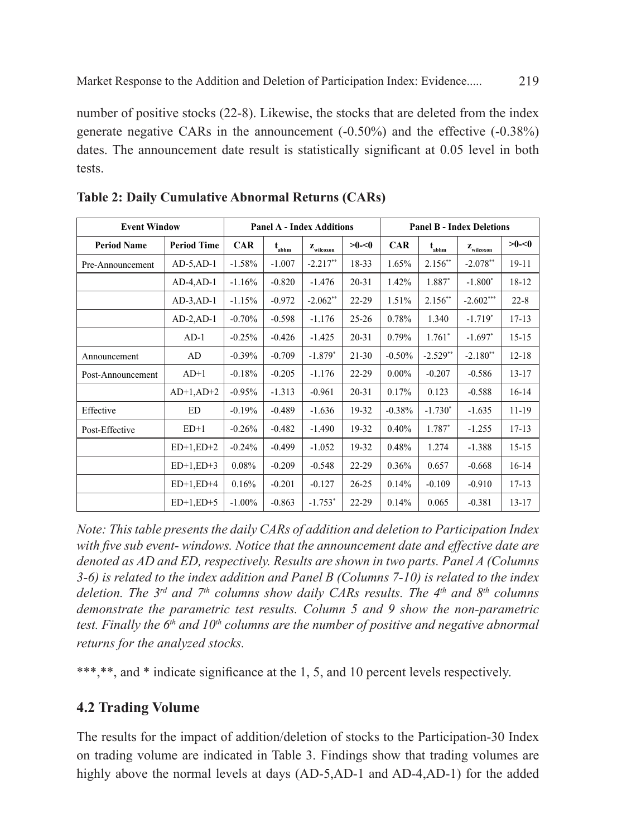number of positive stocks (22-8). Likewise, the stocks that are deleted from the index generate negative CARs in the announcement (-0.50%) and the effective (-0.38%) dates. The announcement date result is statistically significant at 0.05 level in both tests.

| <b>Event Window</b> |                    | <b>Panel A - Index Additions</b> |            |                                |              | <b>Panel B - Index Deletions</b> |            |                                |              |  |
|---------------------|--------------------|----------------------------------|------------|--------------------------------|--------------|----------------------------------|------------|--------------------------------|--------------|--|
| <b>Period Name</b>  | <b>Period Time</b> | <b>CAR</b>                       | $t_{abhm}$ | $\mathbf{z}_{\text{wilcoxon}}$ | $>0$ - $<$ 0 | <b>CAR</b>                       | $t_{abhm}$ | $\mathbf{z}_{\text{wilcoxon}}$ | $>0$ - $< 0$ |  |
| Pre-Announcement    | $AD-5, AD-1$       | $-1.58%$                         | $-1.007$   | $-2.217**$                     | 18-33        | 1.65%                            | $2.156**$  | $-2.078**$                     | 19-11        |  |
|                     | $AD-4, AD-1$       | $-1.16%$                         | $-0.820$   | $-1.476$                       | $20 - 31$    | 1.42%                            | 1.887*     | $-1.800*$                      | 18-12        |  |
|                     | $AD-3$ , $AD-1$    | $-1.15%$                         | $-0.972$   | $-2.062**$                     | 22-29        | 1.51%                            | $2.156**$  | $-2.602***$                    | $22 - 8$     |  |
|                     | $AD-2, AD-1$       | $-0.70%$                         | $-0.598$   | $-1.176$                       | $25 - 26$    | 0.78%                            | 1.340      | $-1.719*$                      | $17 - 13$    |  |
|                     | $AD-1$             | $-0.25%$                         | $-0.426$   | $-1.425$                       | $20 - 31$    | 0.79%                            | $1.761*$   | $-1.697*$                      | $15 - 15$    |  |
| Announcement        | AD                 | $-0.39%$                         | $-0.709$   | $-1.879*$                      | $21 - 30$    | $-0.50%$                         | $-2.529**$ | $-2.180**$                     | $12 - 18$    |  |
| Post-Announcement   | $AD+1$             | $-0.18%$                         | $-0.205$   | $-1.176$                       | 22-29        | $0.00\%$                         | $-0.207$   | $-0.586$                       | $13 - 17$    |  |
|                     | $AD+1, AD+2$       | $-0.95%$                         | $-1.313$   | $-0.961$                       | $20 - 31$    | 0.17%                            | 0.123      | $-0.588$                       | $16 - 14$    |  |
| Effective           | <b>ED</b>          | $-0.19%$                         | $-0.489$   | $-1.636$                       | 19-32        | $-0.38%$                         | $-1.730*$  | $-1.635$                       | 11-19        |  |
| Post-Effective      | $ED+1$             | $-0.26%$                         | $-0.482$   | $-1.490$                       | 19-32        | 0.40%                            | $1.787*$   | $-1.255$                       | $17 - 13$    |  |
|                     | $ED+1,ED+2$        | $-0.24%$                         | $-0.499$   | $-1.052$                       | 19-32        | 0.48%                            | 1.274      | $-1.388$                       | $15 - 15$    |  |
|                     | $ED+1,ED+3$        | 0.08%                            | $-0.209$   | $-0.548$                       | 22-29        | 0.36%                            | 0.657      | $-0.668$                       | $16 - 14$    |  |
|                     | $ED+1, ED+4$       | 0.16%                            | $-0.201$   | $-0.127$                       | $26 - 25$    | 0.14%                            | $-0.109$   | $-0.910$                       | $17 - 13$    |  |
|                     | $ED+1,ED+5$        | $-1.00\%$                        | $-0.863$   | $-1.753*$                      | 22-29        | 0.14%                            | 0.065      | $-0.381$                       | $13 - 17$    |  |

**Table 2: Daily Cumulative Abnormal Returns (CARs)**

*Note: This table presents the daily CARs of addition and deletion to Participation Index with five sub event- windows. Notice that the announcement date and effective date are denoted as AD and ED, respectively. Results are shown in two parts. Panel A (Columns 3-6) is related to the index addition and Panel B (Columns 7-10) is related to the index deletion. The 3rd and 7th columns show daily CARs results. The 4th and 8th columns demonstrate the parametric test results. Column 5 and 9 show the non-parametric test. Finally the*  $6<sup>th</sup>$  *and 10<sup>th</sup> columns are the number of positive and negative abnormal returns for the analyzed stocks.*

\*\*\*,\*\*, and \* indicate significance at the 1, 5, and 10 percent levels respectively.

# **4.2 Trading Volume**

The results for the impact of addition/deletion of stocks to the Participation-30 Index on trading volume are indicated in Table 3. Findings show that trading volumes are highly above the normal levels at days (AD-5,AD-1 and AD-4,AD-1) for the added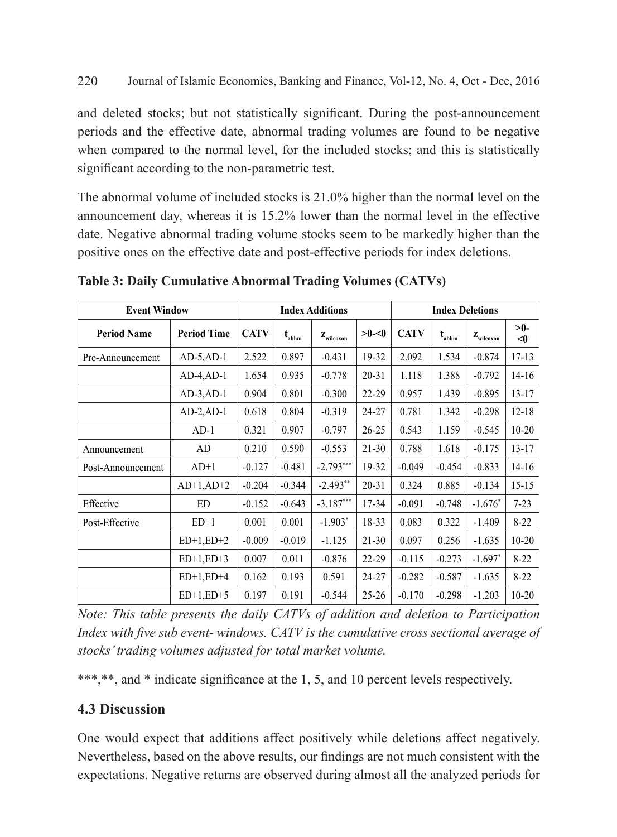and deleted stocks; but not statistically significant. During the post-announcement periods and the effective date, abnormal trading volumes are found to be negative when compared to the normal level, for the included stocks; and this is statistically significant according to the non-parametric test.

The abnormal volume of included stocks is 21.0% higher than the normal level on the announcement day, whereas it is 15.2% lower than the normal level in the effective date. Negative abnormal trading volume stocks seem to be markedly higher than the positive ones on the effective date and post-effective periods for index deletions.

| <b>Event Window</b> |                    | <b>Index Additions</b> |            |                                |              | <b>Index Deletions</b> |            |                                |                 |
|---------------------|--------------------|------------------------|------------|--------------------------------|--------------|------------------------|------------|--------------------------------|-----------------|
| <b>Period Name</b>  | <b>Period Time</b> | <b>CATV</b>            | $t_{abhm}$ | $\mathbf{z}_{\text{wilcoxon}}$ | $>0$ - $<$ 0 | <b>CATV</b>            | $t_{abhm}$ | $\mathbf{z}_{\text{wilcoxon}}$ | >0-<br>$\leq 0$ |
| Pre-Announcement    | $AD-5$ , $AD-1$    | 2.522                  | 0.897      | $-0.431$                       | 19-32        | 2.092                  | 1.534      | $-0.874$                       | $17 - 13$       |
|                     | $AD-4, AD-1$       | 1.654                  | 0.935      | $-0.778$                       | $20 - 31$    | 1.118                  | 1.388      | $-0.792$                       | $14 - 16$       |
|                     | $AD-3$ , $AD-1$    | 0.904                  | 0.801      | $-0.300$                       | 22-29        | 0.957                  | 1.439      | $-0.895$                       | $13 - 17$       |
|                     | $AD-2, AD-1$       | 0.618                  | 0.804      | $-0.319$                       | 24-27        | 0.781                  | 1.342      | $-0.298$                       | $12 - 18$       |
|                     | $AD-1$             | 0.321                  | 0.907      | $-0.797$                       | $26 - 25$    | 0.543                  | 1.159      | $-0.545$                       | $10 - 20$       |
| Announcement        | AD                 | 0.210                  | 0.590      | $-0.553$                       | $21 - 30$    | 0.788                  | 1.618      | $-0.175$                       | $13 - 17$       |
| Post-Announcement   | $AD+1$             | $-0.127$               | $-0.481$   | $-2.793***$                    | 19-32        | $-0.049$               | $-0.454$   | $-0.833$                       | $14 - 16$       |
|                     | $AD+1, AD+2$       | $-0.204$               | $-0.344$   | $-2.493**$                     | $20 - 31$    | 0.324                  | 0.885      | $-0.134$                       | $15 - 15$       |
| Effective           | ED                 | $-0.152$               | $-0.643$   | $-3.187***$                    | 17-34        | $-0.091$               | $-0.748$   | $-1.676*$                      | $7 - 23$        |
| Post-Effective      | $ED+1$             | 0.001                  | 0.001      | $-1.903*$                      | 18-33        | 0.083                  | 0.322      | $-1.409$                       | $8 - 22$        |
|                     | $ED+1, ED+2$       | $-0.009$               | $-0.019$   | $-1.125$                       | $21 - 30$    | 0.097                  | 0.256      | $-1.635$                       | $10 - 20$       |
|                     | $ED+1, ED+3$       | 0.007                  | 0.011      | $-0.876$                       | $22 - 29$    | $-0.115$               | $-0.273$   | $-1.697*$                      | $8 - 22$        |
|                     | $ED+1, ED+4$       | 0.162                  | 0.193      | 0.591                          | 24-27        | $-0.282$               | $-0.587$   | $-1.635$                       | $8 - 22$        |
|                     | $ED+1, ED+5$       | 0.197                  | 0.191      | $-0.544$                       | $25 - 26$    | $-0.170$               | $-0.298$   | $-1.203$                       | $10 - 20$       |

**Table 3: Daily Cumulative Abnormal Trading Volumes (CATVs)**

*Note: This table presents the daily CATVs of addition and deletion to Participation Index with five sub event- windows. CATV is the cumulative cross sectional average of stocks' trading volumes adjusted for total market volume.*

\*\*\*,\*\*, and \* indicate significance at the 1, 5, and 10 percent levels respectively.

# **4.3 Discussion**

One would expect that additions affect positively while deletions affect negatively. Nevertheless, based on the above results, our findings are not much consistent with the expectations. Negative returns are observed during almost all the analyzed periods for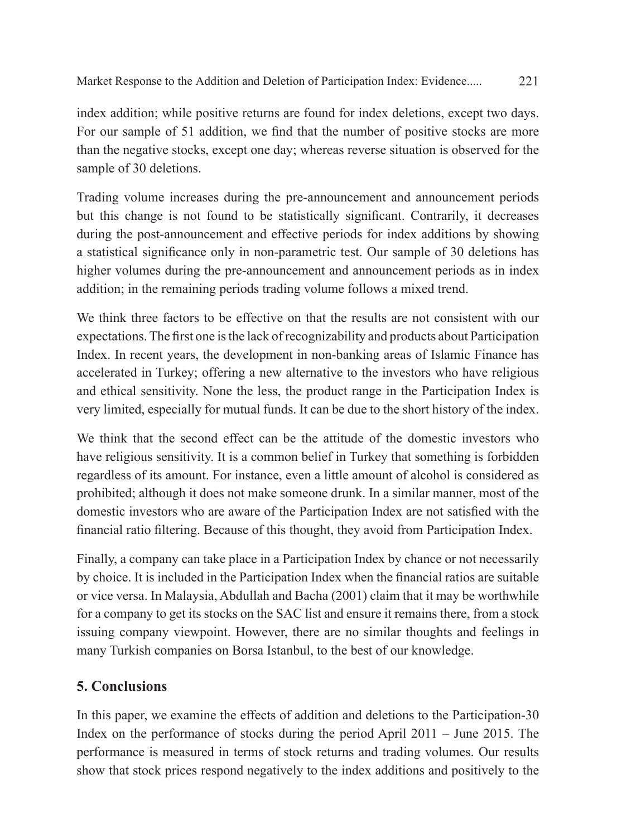Market Response to the Addition and Deletion of Participation Index: Evidence..... 221

index addition; while positive returns are found for index deletions, except two days. For our sample of 51 addition, we find that the number of positive stocks are more than the negative stocks, except one day; whereas reverse situation is observed for the sample of 30 deletions.

Trading volume increases during the pre-announcement and announcement periods but this change is not found to be statistically significant. Contrarily, it decreases during the post-announcement and effective periods for index additions by showing a statistical significance only in non-parametric test. Our sample of 30 deletions has higher volumes during the pre-announcement and announcement periods as in index addition; in the remaining periods trading volume follows a mixed trend.

We think three factors to be effective on that the results are not consistent with our expectations. The first one is the lack of recognizability and products about Participation Index. In recent years, the development in non-banking areas of Islamic Finance has accelerated in Turkey; offering a new alternative to the investors who have religious and ethical sensitivity. None the less, the product range in the Participation Index is very limited, especially for mutual funds. It can be due to the short history of the index.

We think that the second effect can be the attitude of the domestic investors who have religious sensitivity. It is a common belief in Turkey that something is forbidden regardless of its amount. For instance, even a little amount of alcohol is considered as prohibited; although it does not make someone drunk. In a similar manner, most of the domestic investors who are aware of the Participation Index are not satisfied with the financial ratio filtering. Because of this thought, they avoid from Participation Index.

Finally, a company can take place in a Participation Index by chance or not necessarily by choice. It is included in the Participation Index when the financial ratios are suitable or vice versa. In Malaysia, Abdullah and Bacha (2001) claim that it may be worthwhile for a company to get its stocks on the SAC list and ensure it remains there, from a stock issuing company viewpoint. However, there are no similar thoughts and feelings in many Turkish companies on Borsa Istanbul, to the best of our knowledge.

# **5. Conclusions**

In this paper, we examine the effects of addition and deletions to the Participation-30 Index on the performance of stocks during the period April 2011 – June 2015. The performance is measured in terms of stock returns and trading volumes. Our results show that stock prices respond negatively to the index additions and positively to the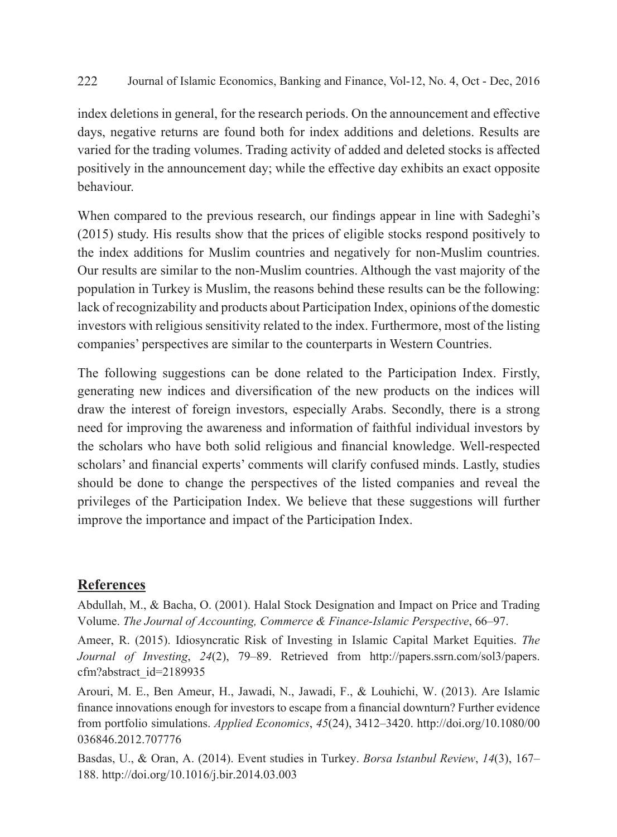index deletions in general, for the research periods. On the announcement and effective days, negative returns are found both for index additions and deletions. Results are varied for the trading volumes. Trading activity of added and deleted stocks is affected positively in the announcement day; while the effective day exhibits an exact opposite behaviour.

When compared to the previous research, our findings appear in line with Sadeghi's (2015) study. His results show that the prices of eligible stocks respond positively to the index additions for Muslim countries and negatively for non-Muslim countries. Our results are similar to the non-Muslim countries. Although the vast majority of the population in Turkey is Muslim, the reasons behind these results can be the following: lack of recognizability and products about Participation Index, opinions of the domestic investors with religious sensitivity related to the index. Furthermore, most of the listing companies' perspectives are similar to the counterparts in Western Countries.

The following suggestions can be done related to the Participation Index. Firstly, generating new indices and diversification of the new products on the indices will draw the interest of foreign investors, especially Arabs. Secondly, there is a strong need for improving the awareness and information of faithful individual investors by the scholars who have both solid religious and financial knowledge. Well-respected scholars' and financial experts' comments will clarify confused minds. Lastly, studies should be done to change the perspectives of the listed companies and reveal the privileges of the Participation Index. We believe that these suggestions will further improve the importance and impact of the Participation Index.

#### **References**

Abdullah, M., & Bacha, O. (2001). Halal Stock Designation and Impact on Price and Trading Volume. *The Journal of Accounting, Commerce & Finance-Islamic Perspective*, 66–97.

Ameer, R. (2015). Idiosyncratic Risk of Investing in Islamic Capital Market Equities. *The Journal of Investing*, *24*(2), 79–89. Retrieved from http://papers.ssrn.com/sol3/papers. cfm?abstract\_id=2189935

Arouri, M. E., Ben Ameur, H., Jawadi, N., Jawadi, F., & Louhichi, W. (2013). Are Islamic finance innovations enough for investors to escape from a financial downturn? Further evidence from portfolio simulations. *Applied Economics*, *45*(24), 3412–3420. http://doi.org/10.1080/00 036846.2012.707776

Basdas, U., & Oran, A. (2014). Event studies in Turkey. *Borsa Istanbul Review*, *14*(3), 167– 188. http://doi.org/10.1016/j.bir.2014.03.003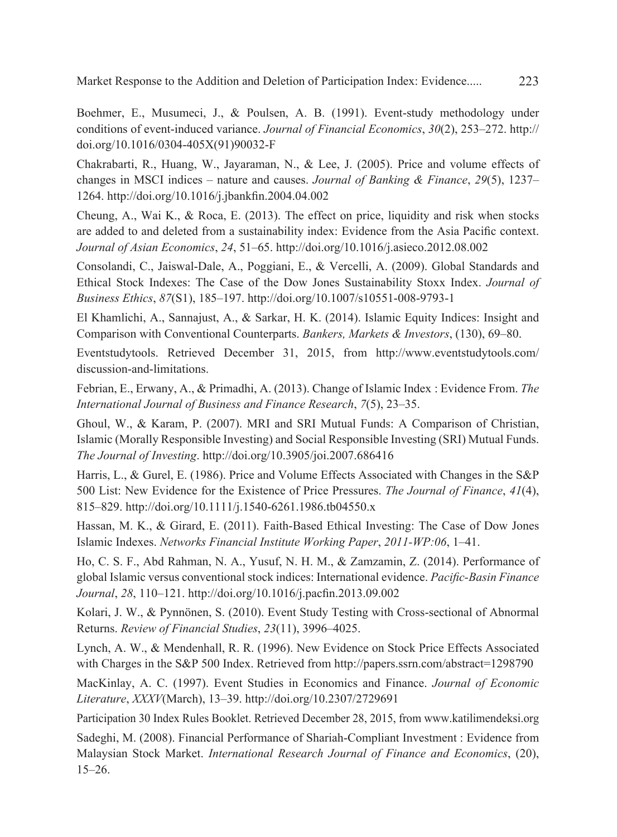Boehmer, E., Musumeci, J., & Poulsen, A. B. (1991). Event-study methodology under conditions of event-induced variance. *Journal of Financial Economics*, *30*(2), 253–272. http:// doi.org/10.1016/0304-405X(91)90032-F

Chakrabarti, R., Huang, W., Jayaraman, N., & Lee, J. (2005). Price and volume effects of changes in MSCI indices – nature and causes. *Journal of Banking & Finance*, *29*(5), 1237– 1264. http://doi.org/10.1016/j.jbankfin.2004.04.002

Cheung, A., Wai K., & Roca, E. (2013). The effect on price, liquidity and risk when stocks are added to and deleted from a sustainability index: Evidence from the Asia Pacific context. *Journal of Asian Economics*, *24*, 51–65. http://doi.org/10.1016/j.asieco.2012.08.002

Consolandi, C., Jaiswal-Dale, A., Poggiani, E., & Vercelli, A. (2009). Global Standards and Ethical Stock Indexes: The Case of the Dow Jones Sustainability Stoxx Index. *Journal of Business Ethics*, *87*(S1), 185–197. http://doi.org/10.1007/s10551-008-9793-1

El Khamlichi, A., Sannajust, A., & Sarkar, H. K. (2014). Islamic Equity Indices: Insight and Comparison with Conventional Counterparts. *Bankers, Markets & Investors*, (130), 69–80.

Eventstudytools. Retrieved December 31, 2015, from http://www.eventstudytools.com/ discussion-and-limitations.

Febrian, E., Erwany, A., & Primadhi, A. (2013). Change of Islamic Index : Evidence From. *The International Journal of Business and Finance Research*, *7*(5), 23–35.

Ghoul, W., & Karam, P. (2007). MRI and SRI Mutual Funds: A Comparison of Christian, Islamic (Morally Responsible Investing) and Social Responsible Investing (SRI) Mutual Funds. *The Journal of Investing*. http://doi.org/10.3905/joi.2007.686416

Harris, L., & Gurel, E. (1986). Price and Volume Effects Associated with Changes in the S&P 500 List: New Evidence for the Existence of Price Pressures. *The Journal of Finance*, *41*(4), 815–829. http://doi.org/10.1111/j.1540-6261.1986.tb04550.x

Hassan, M. K., & Girard, E. (2011). Faith-Based Ethical Investing: The Case of Dow Jones Islamic Indexes. *Networks Financial Institute Working Paper*, *2011-WP:06*, 1–41.

Ho, C. S. F., Abd Rahman, N. A., Yusuf, N. H. M., & Zamzamin, Z. (2014). Performance of global Islamic versus conventional stock indices: International evidence. *Pacific-Basin Finance Journal*, *28*, 110–121. http://doi.org/10.1016/j.pacfin.2013.09.002

Kolari, J. W., & Pynnönen, S. (2010). Event Study Testing with Cross-sectional of Abnormal Returns. *Review of Financial Studies*, *23*(11), 3996–4025.

Lynch, A. W., & Mendenhall, R. R. (1996). New Evidence on Stock Price Effects Associated with Charges in the S&P 500 Index. Retrieved from http://papers.ssrn.com/abstract=1298790

MacKinlay, A. C. (1997). Event Studies in Economics and Finance. *Journal of Economic Literature*, *XXXV*(March), 13–39. http://doi.org/10.2307/2729691

Participation 30 Index Rules Booklet. Retrieved December 28, 2015, from www.katilimendeksi.org Sadeghi, M. (2008). Financial Performance of Shariah-Compliant Investment : Evidence from Malaysian Stock Market. *International Research Journal of Finance and Economics*, (20), 15–26.